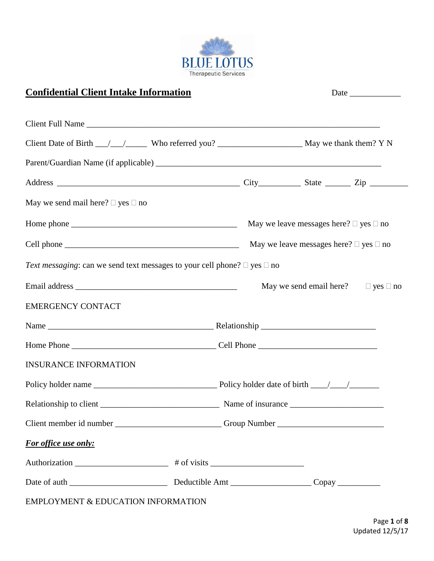

# **Confidential Client Intake Information** Date **Date**

| Client Full Name                                                                   |  |                                                  |  |  |
|------------------------------------------------------------------------------------|--|--------------------------------------------------|--|--|
|                                                                                    |  |                                                  |  |  |
|                                                                                    |  |                                                  |  |  |
|                                                                                    |  |                                                  |  |  |
| May we send mail here? $\Box$ yes $\Box$ no                                        |  |                                                  |  |  |
|                                                                                    |  | May we leave messages here? $\Box$ yes $\Box$ no |  |  |
|                                                                                    |  | May we leave messages here? $\Box$ yes $\Box$ no |  |  |
| Text messaging: can we send text messages to your cell phone? $\Box$ yes $\Box$ no |  |                                                  |  |  |
|                                                                                    |  | May we send email here? $\Box$ yes $\Box$ no     |  |  |
| <b>EMERGENCY CONTACT</b>                                                           |  |                                                  |  |  |
|                                                                                    |  |                                                  |  |  |
|                                                                                    |  |                                                  |  |  |
| <b>INSURANCE INFORMATION</b>                                                       |  |                                                  |  |  |
|                                                                                    |  |                                                  |  |  |
|                                                                                    |  |                                                  |  |  |
|                                                                                    |  |                                                  |  |  |
| For office use only:                                                               |  |                                                  |  |  |
|                                                                                    |  |                                                  |  |  |
|                                                                                    |  |                                                  |  |  |
| EMPLOYMENT & EDUCATION INFORMATION                                                 |  |                                                  |  |  |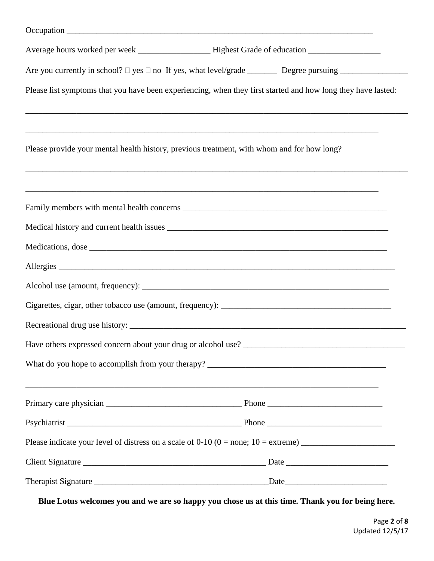| Average hours worked per week ___________________Highest Grade of education ________________________         |  |      |  |  |
|--------------------------------------------------------------------------------------------------------------|--|------|--|--|
|                                                                                                              |  |      |  |  |
| Please list symptoms that you have been experiencing, when they first started and how long they have lasted: |  |      |  |  |
| Please provide your mental health history, previous treatment, with whom and for how long?                   |  |      |  |  |
|                                                                                                              |  |      |  |  |
|                                                                                                              |  |      |  |  |
|                                                                                                              |  |      |  |  |
|                                                                                                              |  |      |  |  |
|                                                                                                              |  |      |  |  |
|                                                                                                              |  |      |  |  |
|                                                                                                              |  |      |  |  |
|                                                                                                              |  |      |  |  |
|                                                                                                              |  |      |  |  |
|                                                                                                              |  |      |  |  |
|                                                                                                              |  |      |  |  |
|                                                                                                              |  |      |  |  |
|                                                                                                              |  |      |  |  |
|                                                                                                              |  | Date |  |  |

**Blue Lotus welcomes you and we are so happy you chose us at this time. Thank you for being here.**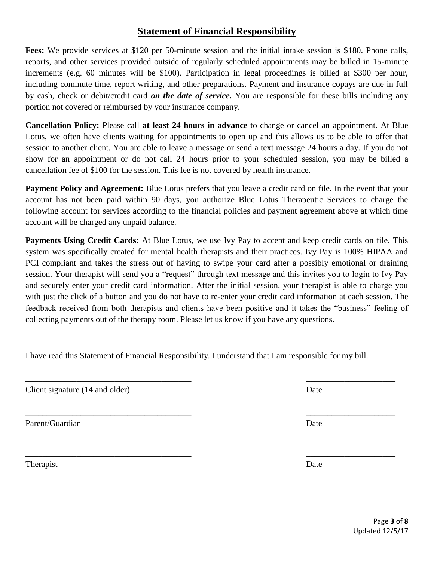## **Statement of Financial Responsibility**

**Fees:** We provide services at \$120 per 50-minute session and the initial intake session is \$180. Phone calls, reports, and other services provided outside of regularly scheduled appointments may be billed in 15-minute increments (e.g. 60 minutes will be \$100). Participation in legal proceedings is billed at \$300 per hour, including commute time, report writing, and other preparations. Payment and insurance copays are due in full by cash, check or debit/credit card *on the date of service.* You are responsible for these bills including any portion not covered or reimbursed by your insurance company.

**Cancellation Policy:** Please call **at least 24 hours in advance** to change or cancel an appointment. At Blue Lotus, we often have clients waiting for appointments to open up and this allows us to be able to offer that session to another client. You are able to leave a message or send a text message 24 hours a day. If you do not show for an appointment or do not call 24 hours prior to your scheduled session, you may be billed a cancellation fee of \$100 for the session. This fee is not covered by health insurance.

**Payment Policy and Agreement:** Blue Lotus prefers that you leave a credit card on file. In the event that your account has not been paid within 90 days, you authorize Blue Lotus Therapeutic Services to charge the following account for services according to the financial policies and payment agreement above at which time account will be charged any unpaid balance.

**Payments Using Credit Cards:** At Blue Lotus, we use Ivy Pay to accept and keep credit cards on file. This system was specifically created for mental health therapists and their practices. Ivy Pay is 100% HIPAA and PCI compliant and takes the stress out of having to swipe your card after a possibly emotional or draining session. Your therapist will send you a "request" through text message and this invites you to login to Ivy Pay and securely enter your credit card information. After the initial session, your therapist is able to charge you with just the click of a button and you do not have to re-enter your credit card information at each session. The feedback received from both therapists and clients have been positive and it takes the "business" feeling of collecting payments out of the therapy room. Please let us know if you have any questions.

I have read this Statement of Financial Responsibility. I understand that I am responsible for my bill.

 $\overline{\phantom{a}}$  , and the contract of the contract of the contract of the contract of the contract of the contract of the contract of the contract of the contract of the contract of the contract of the contract of the contrac

 $\overline{\phantom{a}}$  , and the contract of the contract of the contract of the contract of the contract of the contract of the contract of the contract of the contract of the contract of the contract of the contract of the contrac

 $\overline{\phantom{a}}$  , and the contract of the contract of the contract of the contract of the contract of the contract of the contract of the contract of the contract of the contract of the contract of the contract of the contrac

Client signature (14 and older) Date

Parent/Guardian Date **Date** 

Therapist Date **Date**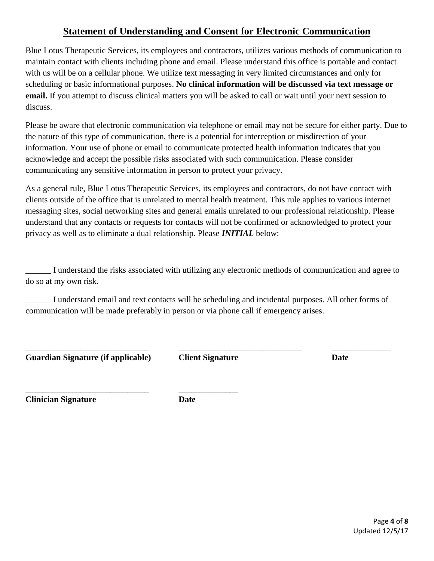## **Statement of Understanding and Consent for Electronic Communication**

Blue Lotus Therapeutic Services, its employees and contractors, utilizes various methods of communication to maintain contact with clients including phone and email. Please understand this office is portable and contact with us will be on a cellular phone. We utilize text messaging in very limited circumstances and only for scheduling or basic informational purposes. **No clinical information will be discussed via text message or email.** If you attempt to discuss clinical matters you will be asked to call or wait until your next session to discuss.

Please be aware that electronic communication via telephone or email may not be secure for either party. Due to the nature of this type of communication, there is a potential for interception or misdirection of your information. Your use of phone or email to communicate protected health information indicates that you acknowledge and accept the possible risks associated with such communication. Please consider communicating any sensitive information in person to protect your privacy.

As a general rule, Blue Lotus Therapeutic Services, its employees and contractors, do not have contact with clients outside of the office that is unrelated to mental health treatment. This rule applies to various internet messaging sites, social networking sites and general emails unrelated to our professional relationship. Please understand that any contacts or requests for contacts will not be confirmed or acknowledged to protect your privacy as well as to eliminate a dual relationship. Please *INITIAL* below:

\_\_\_\_\_\_ I understand the risks associated with utilizing any electronic methods of communication and agree to do so at my own risk.

\_\_\_\_\_\_ I understand email and text contacts will be scheduling and incidental purposes. All other forms of communication will be made preferably in person or via phone call if emergency arises.

**Guardian Signature (if applicable) Client Signature Date**

\_\_\_\_\_\_\_\_\_\_\_\_\_\_\_\_\_\_\_\_\_\_\_\_\_\_\_\_\_ \_\_\_\_\_\_\_\_\_\_\_\_\_\_

\_\_\_\_\_\_\_\_\_\_\_\_\_\_\_\_\_\_\_\_\_\_\_\_\_\_\_\_\_ \_\_\_\_\_\_\_\_\_\_\_\_\_\_\_\_\_\_\_\_\_\_\_\_\_\_\_\_\_ \_\_\_\_\_\_\_\_\_\_\_\_\_\_

**Clinician Signature Date**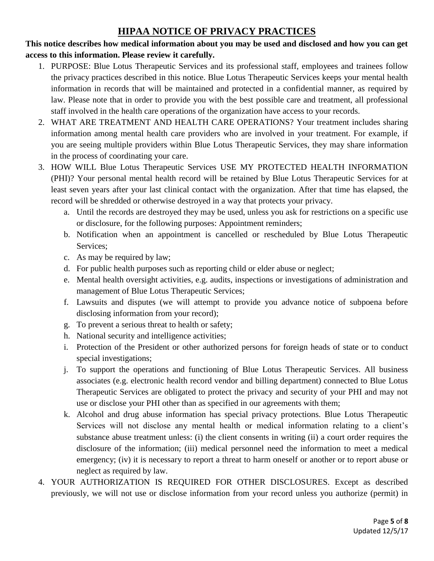## **HIPAA NOTICE OF PRIVACY PRACTICES**

### **This notice describes how medical information about you may be used and disclosed and how you can get access to this information. Please review it carefully.**

- 1. PURPOSE: Blue Lotus Therapeutic Services and its professional staff, employees and trainees follow the privacy practices described in this notice. Blue Lotus Therapeutic Services keeps your mental health information in records that will be maintained and protected in a confidential manner, as required by law. Please note that in order to provide you with the best possible care and treatment, all professional staff involved in the health care operations of the organization have access to your records.
- 2. WHAT ARE TREATMENT AND HEALTH CARE OPERATIONS? Your treatment includes sharing information among mental health care providers who are involved in your treatment. For example, if you are seeing multiple providers within Blue Lotus Therapeutic Services, they may share information in the process of coordinating your care.
- 3. HOW WILL Blue Lotus Therapeutic Services USE MY PROTECTED HEALTH INFORMATION (PHI)? Your personal mental health record will be retained by Blue Lotus Therapeutic Services for at least seven years after your last clinical contact with the organization. After that time has elapsed, the record will be shredded or otherwise destroyed in a way that protects your privacy.
	- a. Until the records are destroyed they may be used, unless you ask for restrictions on a specific use or disclosure, for the following purposes: Appointment reminders;
	- b. Notification when an appointment is cancelled or rescheduled by Blue Lotus Therapeutic Services;
	- c. As may be required by law;
	- d. For public health purposes such as reporting child or elder abuse or neglect;
	- e. Mental health oversight activities, e.g. audits, inspections or investigations of administration and management of Blue Lotus Therapeutic Services;
	- f. Lawsuits and disputes (we will attempt to provide you advance notice of subpoena before disclosing information from your record);
	- g. To prevent a serious threat to health or safety;
	- h. National security and intelligence activities;
	- i. Protection of the President or other authorized persons for foreign heads of state or to conduct special investigations;
	- j. To support the operations and functioning of Blue Lotus Therapeutic Services. All business associates (e.g. electronic health record vendor and billing department) connected to Blue Lotus Therapeutic Services are obligated to protect the privacy and security of your PHI and may not use or disclose your PHI other than as specified in our agreements with them;
	- k. Alcohol and drug abuse information has special privacy protections. Blue Lotus Therapeutic Services will not disclose any mental health or medical information relating to a client's substance abuse treatment unless: (i) the client consents in writing (ii) a court order requires the disclosure of the information; (iii) medical personnel need the information to meet a medical emergency; (iv) it is necessary to report a threat to harm oneself or another or to report abuse or neglect as required by law.
- 4. YOUR AUTHORIZATION IS REQUIRED FOR OTHER DISCLOSURES. Except as described previously, we will not use or disclose information from your record unless you authorize (permit) in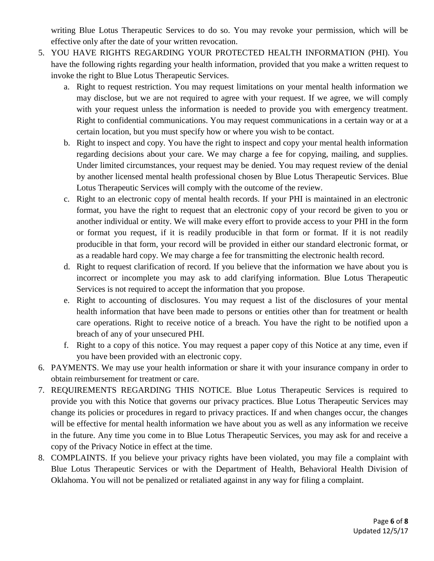writing Blue Lotus Therapeutic Services to do so. You may revoke your permission, which will be effective only after the date of your written revocation.

- 5. YOU HAVE RIGHTS REGARDING YOUR PROTECTED HEALTH INFORMATION (PHI). You have the following rights regarding your health information, provided that you make a written request to invoke the right to Blue Lotus Therapeutic Services.
	- a. Right to request restriction. You may request limitations on your mental health information we may disclose, but we are not required to agree with your request. If we agree, we will comply with your request unless the information is needed to provide you with emergency treatment. Right to confidential communications. You may request communications in a certain way or at a certain location, but you must specify how or where you wish to be contact.
	- b. Right to inspect and copy. You have the right to inspect and copy your mental health information regarding decisions about your care. We may charge a fee for copying, mailing, and supplies. Under limited circumstances, your request may be denied. You may request review of the denial by another licensed mental health professional chosen by Blue Lotus Therapeutic Services. Blue Lotus Therapeutic Services will comply with the outcome of the review.
	- c. Right to an electronic copy of mental health records. If your PHI is maintained in an electronic format, you have the right to request that an electronic copy of your record be given to you or another individual or entity. We will make every effort to provide access to your PHI in the form or format you request, if it is readily producible in that form or format. If it is not readily producible in that form, your record will be provided in either our standard electronic format, or as a readable hard copy. We may charge a fee for transmitting the electronic health record.
	- d. Right to request clarification of record. If you believe that the information we have about you is incorrect or incomplete you may ask to add clarifying information. Blue Lotus Therapeutic Services is not required to accept the information that you propose.
	- e. Right to accounting of disclosures. You may request a list of the disclosures of your mental health information that have been made to persons or entities other than for treatment or health care operations. Right to receive notice of a breach. You have the right to be notified upon a breach of any of your unsecured PHI.
	- f. Right to a copy of this notice. You may request a paper copy of this Notice at any time, even if you have been provided with an electronic copy.
- 6. PAYMENTS. We may use your health information or share it with your insurance company in order to obtain reimbursement for treatment or care.
- 7. REQUIREMENTS REGARDING THIS NOTICE. Blue Lotus Therapeutic Services is required to provide you with this Notice that governs our privacy practices. Blue Lotus Therapeutic Services may change its policies or procedures in regard to privacy practices. If and when changes occur, the changes will be effective for mental health information we have about you as well as any information we receive in the future. Any time you come in to Blue Lotus Therapeutic Services, you may ask for and receive a copy of the Privacy Notice in effect at the time.
- 8. COMPLAINTS. If you believe your privacy rights have been violated, you may file a complaint with Blue Lotus Therapeutic Services or with the Department of Health, Behavioral Health Division of Oklahoma. You will not be penalized or retaliated against in any way for filing a complaint.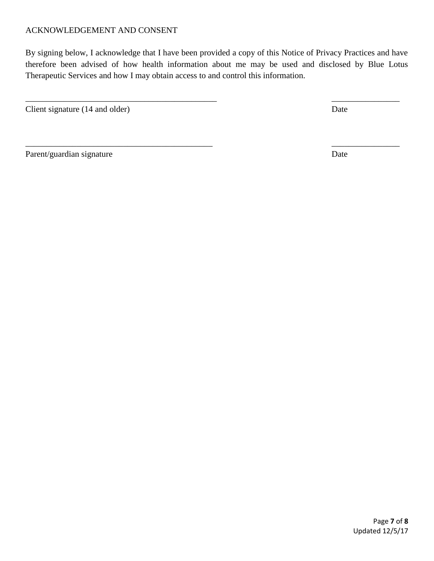#### ACKNOWLEDGEMENT AND CONSENT

By signing below, I acknowledge that I have been provided a copy of this Notice of Privacy Practices and have therefore been advised of how health information about me may be used and disclosed by Blue Lotus Therapeutic Services and how I may obtain access to and control this information.

\_\_\_\_\_\_\_\_\_\_\_\_\_\_\_\_\_\_\_\_\_\_\_\_\_\_\_\_\_\_\_\_\_\_\_\_\_\_\_\_\_\_\_\_\_ \_\_\_\_\_\_\_\_\_\_\_\_\_\_\_\_

 $\overline{\phantom{a}}$  , and the contract of the contract of the contract of the contract of the contract of the contract of the contract of the contract of the contract of the contract of the contract of the contract of the contrac

Client signature (14 and older) Date

Parent/guardian signature Date